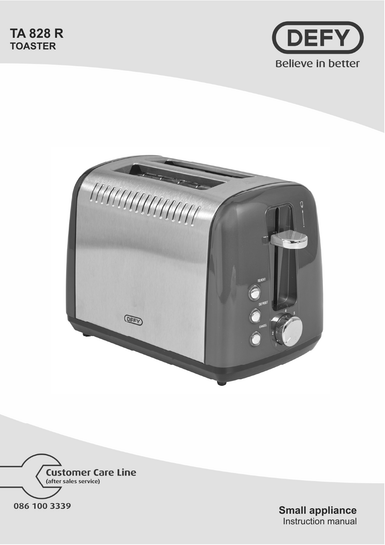





**Small appliance**  Instruction manual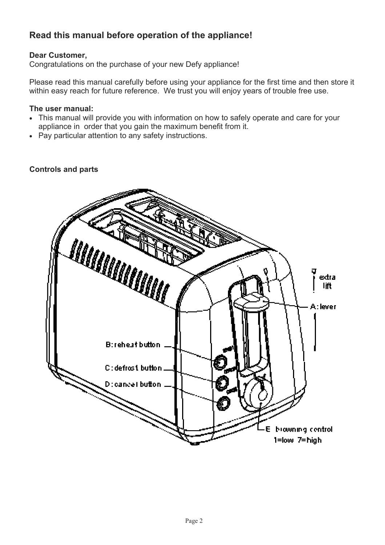# **Read this manual before operation of the appliance!**

# **Dear Customer,**

Congratulations on the purchase of your new Defy appliance!

Please read this manual carefully before using your appliance for the first time and then store it within easy reach for future reference. We trust you will enjoy years of trouble free use.

# **The user manual:**

- This manual will provide you with information on how to safely operate and care for your appliance in order that you gain the maximum benefit from it.
- Pay particular attention to any safety instructions.

# **Controls and parts**

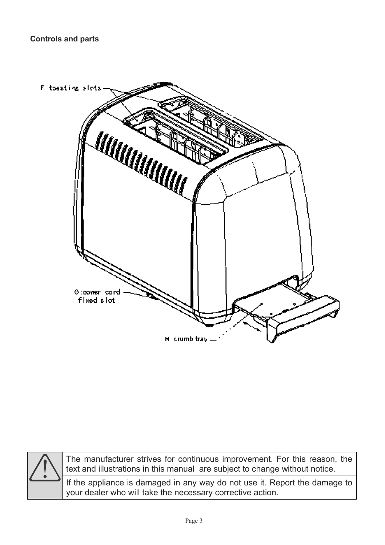



The manufacturer strives for continuous improvement. For this reason, the text and illustrations in this manual are subject to change without notice.

If the appliance is damaged in any way do not use it. Report the damage to your dealer who will take the necessary corrective action.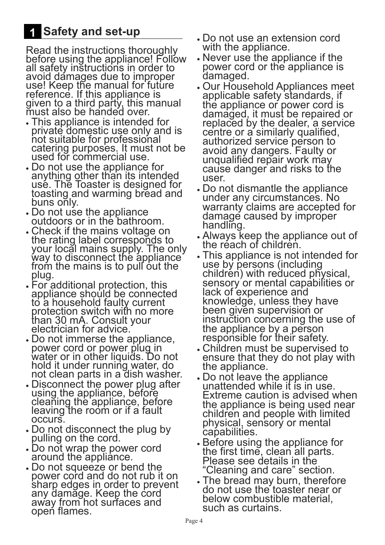# **Safety and set-up**

Read the instructions thoroughly before using the appliance! Follow all safety instructions in order to avoid damages due to improper use! Keep the manual for future reference. If this appliance is given to a third party, this manual must also be handed over.

- This appliance is intended for private domestic use only and is not suitable for professional catering purposes. It must not be used for commercial use.
- Do not use the appliance for anything other than its intended use. The Toaster is designed for toasting and warming bread and buns only.
- Do not use the appliance outdoors or in the bathroom.
- Check if the mains voltage on the rating label corresponds to your locăl mains supply. The only way to disconnect the appliance from the mains is to pull out the plug.
- For additional protection, this appliance should be connected to a household faulty current protection switch with no more than 30 mA. Consult your electrician for advice.
- xDo not immerse the appliance, power cord or power plug in water or in other liquids. Do not hold it under running water, do not clean parts in a dish washer.
- Disconnect the power plug after using the appliance, before cleaning the appliance, before leaving the room or if a fault occurs.
- Do not disconnect the plug by pulling on the cord.
- Do not wrap the power cord around the appliance.
- Do not squeeze or bend the power cord and do not rub it on sharp edges in order to prevent any damage. Keep the cord away from hot surfaces and open flames.
- xDo not use an extension cord with the appliance.
- Never use the appliance if the power cord or the appliance is damaged.
- xOur Household Appliances meet applicable safety standards, if the appliance or power cord is damaged, it must be repaired or replaced by the dealer, a service centre or a similarly qualified, authorized service person to avoid any dangers. Faulty or unqualified repair work may cause danger and risks to the user.
- Do not dismantle the appliance under any circumstances. No warranty claims are accepted for damage caused by improper handling.
- xAlways keep the appliance out of the réach of children.
- This appliance is not intended for use by persons (including children) with reduced physical, sensory or mental capabilities or lack of experience and knowledge, unless they have been given supervision or instruction concerning the use of the appliance by a person responsible for their safety.
- Children must be supervised to ensure that they do not play with the appliance.
- xDo not leave the appliance unattended while it is in use. Extreme caution is advised when the appliance is being used near children and people with limited physical, sensory or mental capabilities.
- **Before using the appliance for** the first time, clean all parts. Please see details in the "Cleaning and care" section.
- The bread may burn, therefore do not use the toaster near or below combustible material, such as curtains.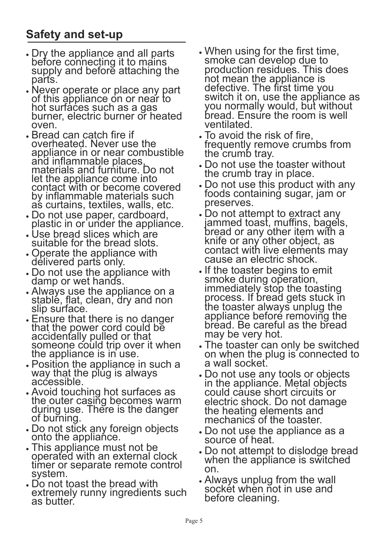# **Safety and set-up**

- xDry the appliance and all parts before connecting it to mains supply and before attaching the parts.
- Never operate or place any part of this appliance on or near to hot surfaces such as a gas burner, electric burner or heated oven.
- Bread can catch fire if overheated. Never use the appliance in or near combustible and inflammable places, materials and furniture. Do not let the appliance come into contact with or become covered by inflammable materials such as curtains, textiles, walls, etc.
- xDo not use paper, cardboard, plastic in or under the appliance.
- Use bread slices which are suitable for the bread slots.
- Operate the appliance with delivered parts only.
- xDo not use the appliance with damp or wet hand's.
- xAlways use the appliance on a stable, flat, clean, dry and non slip surface.
- xEnsure that there is no danger that the power cord could be accidentally pulled or that someone could trip over it when the appliance is in use.
- Position the appliance in such a way that the plug is always accessible.
- xAvoid touching hot surfaces as the outer casing becomes warm during use. There is the danger of burning.
- xDo not stick any foreign objects onto the appliance.
- xThis appliance must not be operated with an external clock timer or separate remote control system.
- Do not toast the bread with extremely runny ingredients such as butter.
- When using for the first time, smoke can develop due to production residues. This does not mean the appliance is defective. The first time you switch it on, use the appliance as you normally would, but without bread. Ensure the room is well ventilated.
- To avoid the risk of fire, frequently remove crumbs from the crumb tray.
- Do not use the toaster without the crumb tray in place.
- Do not use this product with any foods containing sugar, jam or preserves.
- Do not attempt to extract any jammed toast, muffins, bagels, bread or any other item with a knife or any other object, as contact with live elements may cause an electric shock.
- If the toaster begins to emit smoke during operation, immediately stop the toasting process. If bread gets stuck in the toaster always unplug the appliance before removing the bread. Be careful as the bread may be very hot.
- The toaster can only be switched on when the plug is connected to a wall socket.
- xDo not use any tools or objects in the appliance. Metal objects could cause short circuits or electric shock. Do not damage the heating elements and mechanics of the toaster.
- xDo not use the appliance as a source of heat.
- Do not attempt to dislodge bread when the appliance is switched on.
- xAlways unplug from the wall socket when not in use and before cleaning.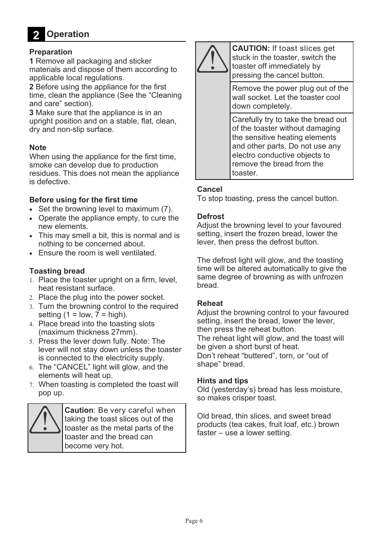**Operation 2** 

# **Preparation**

**1** Remove all packaging and sticker materials and dispose of them according to applicable local regulations.

**2** Before using the appliance for the first time, clean the appliance (See the "Cleaning and care" section).

**3** Make sure that the appliance is in an upright position and on a stable, flat, clean, dry and non-slip surface.

# **Note**

When using the appliance for the first time, smoke can develop due to production residues. This does not mean the appliance is defective.

### **Before using for the first time**

- $\bullet$  Set the browning level to maximum (7).
- Operate the appliance empty, to cure the new elements.
- This may smell a bit, this is normal and is nothing to be concerned about.
- Ensure the room is well ventilated.

## **Toasting bread**

- 1. Place the toaster upright on a firm, level. heat resistant surface.
- 2. Place the plug into the power socket.
- 3. Turn the browning control to the required setting (1 = low,  $\overline{7}$  = high).
- 4. Place bread into the toasting slots (maximum thickness 27mm).
- 5. Press the lever down fully. Note: The lever will not stay down unless the toaster is connected to the electricity supply.
- The "CANCEL" light will glow, and the elements will heat up.
- When toasting is completed the toast will pop up.



**Caution**: Be very careful when taking the toast slices out of the toaster as the metal parts of the toaster and the bread can become very hot.



**CAUTION:** If toast slices get stuck in the toaster, switch the toaster off immediately by pressing the cancel button.

Remove the power plug out of the wall socket. Let the toaster cool down completely.

Carefully try to take the bread out of the toaster without damaging the sensitive heating elements and other parts. Do not use any electro conductive objects to remove the bread from the toaster.

#### **Cancel**

To stop toasting, press the cancel button.

#### **Defrost**

Adjust the browning level to your favoured setting, insert the frozen bread, lower the lever, then press the defrost button.

The defrost light will glow, and the toasting time will be altered automatically to give the same degree of browning as with unfrozen bread.

#### **Reheat**

Adjust the browning control to your favoured setting, insert the bread, lower the lever, then press the reheat button.

The reheat light will glow, and the toast will be given a short burst of heat.

Don't reheat "buttered", torn, or "out of shape" bread.

#### **Hints and tips**

Old (yesterday's) bread has less moisture, so makes crisper toast.

Old bread, thin slices, and sweet bread products (tea cakes, fruit loaf, etc.) brown faster – use a lower setting.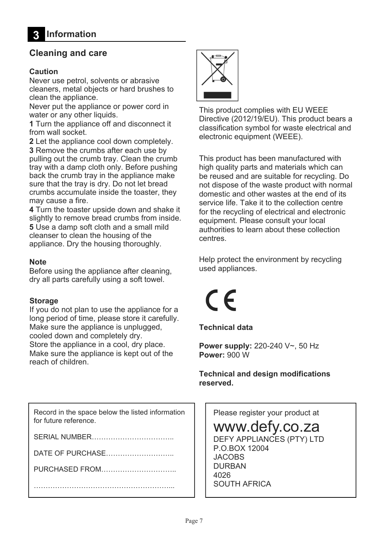# **Cleaning and care**

# **Caution**

Never use petrol, solvents or abrasive cleaners, metal objects or hard brushes to clean the appliance.

Never put the appliance or power cord in water or any other liquids.

**1** Turn the appliance off and disconnect it from wall socket.

**2** Let the appliance cool down completely.

**3** Remove the crumbs after each use by pulling out the crumb tray. Clean the crumb tray with a damp cloth only. Before pushing back the crumb tray in the appliance make sure that the tray is dry. Do not let bread crumbs accumulate inside the toaster, they may cause a fire.

**4** Turn the toaster upside down and shake it slightly to remove bread crumbs from inside. **5** Use a damp soft cloth and a small mild cleanser to clean the housing of the appliance. Dry the housing thoroughly.

# **Note**

Before using the appliance after cleaning, dry all parts carefully using a soft towel.

# **Storage**

If you do not plan to use the appliance for a long period of time, please store it carefully. Make sure the appliance is unplugged, cooled down and completely dry. Store the appliance in a cool, dry place. Make sure the appliance is kept out of the reach of children.

Record in the space below the listed information for future reference.

SERIAL NUMBER………

DATE OF PURCHASE………………………..

PURCHASED FROM………………………….. …………………………………………………...



This product complies with EU WEEE Directive (2012/19/EU). This product bears a classification symbol for waste electrical and electronic equipment (WEEE).

This product has been manufactured with high quality parts and materials which can be reused and are suitable for recycling. Do not dispose of the waste product with normal domestic and other wastes at the end of its service life. Take it to the collection centre for the recycling of electrical and electronic equipment. Please consult your local authorities to learn about these collection centres.

Help protect the environment by recycling used appliances.

 $\epsilon$ 

**Technical data** 

**Power supply:** 220-240 V~, 50 Hz **Power:** 900 W

**Technical and design modifications reserved.** 

Please register your product at

www.defy.co.za

DEFY APPLIANCES (PTY) LTD P.O.BOX 12004 **JACOBS** DURBAN 4026 SOUTH AFRICA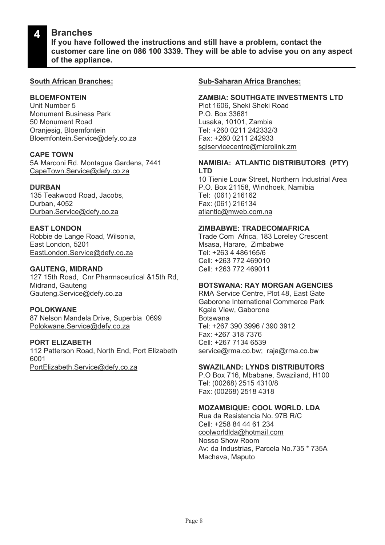#### **Branches 4**

**If you have followed the instructions and still have a problem, contact the customer care line on 086 100 3339. They will be able to advise you on any aspect of the appliance.**

## **South African Branches:**

# **BLOEMFONTEIN**

Unit Number 5 Monument Business Park 50 Monument Road Oranjesig, Bloemfontein Bloemfontein.Service@defy.co.za

#### **CAPE TOWN**

5A Marconi Rd. Montague Gardens, 7441 CapeTown.Service@defy.co.za

#### **DURBAN**

135 Teakwood Road, Jacobs, Durban, 4052 Durban.Service@defy.co.za

# **EAST LONDON**

Robbie de Lange Road, Wilsonia, East London, 5201 EastLondon.Service@defy.co.za

### **GAUTENG, MIDRAND**

127 15th Road, Cnr Pharmaceutical &15th Rd, Midrand, Gauteng Gauteng.Service@defy.co.za

#### **POLOKWANE**

87 Nelson Mandela Drive, Superbia 0699 Polokwane.Service@defy.co.za

# **PORT ELIZABETH**

112 Patterson Road, North End, Port Elizabeth 6001 PortElizabeth.Service@defy.co.za

## **Sub-Saharan Africa Branches:**

#### **ZAMBIA: SOUTHGATE INVESTMENTS LTD**

Plot 1606, Sheki Sheki Road P.O. Box 33681 Lusaka, 10101, Zambia Tel: +260 0211 242332/3 Fax: +260 0211 242933 sgiservicecentre@microlink.zm

#### **NAMIBIA: ATLANTIC DISTRIBUTORS (PTY) LTD**

10 Tienie Louw Street, Northern Industrial Area P.O. Box 21158, Windhoek, Namibia Tel: (061) 216162 Fax: (061) 216134 atlantic@mweb.com.na

### **ZIMBABWE: TRADECOMAFRICA**

Trade Com Africa, 183 Loreley Crescent Msasa, Harare, Zimbabwe Tel: +263 4 486165/6 Cell: +263 772 469010 Cell: +263 772 469011

#### **BOTSWANA: RAY MORGAN AGENCIES**

RMA Service Centre, Plot 48, East Gate Gaborone International Commerce Park Kgale View, Gaborone Botswana Tel: +267 390 3996 / 390 3912 Fax: +267 318 7376 Cell: +267 7134 6539 service@rma.co.bw; raja@rma.co.bw

#### **SWAZILAND: LYNDS DISTRIBUTORS**

P.O Box 716, Mbabane, Swaziland, H100 Tel: (00268) 2515 4310/8 Fax: (00268) 2518 4318

### **MOZAMBIQUE: COOL WORLD. LDA**

Rua da Resistencia No. 97B R/C Cell: +258 84 44 61 234 coolworldlda@hotmail.com Nosso Show Room Av: da Industrias, Parcela No.735 \* 735A Machava, Maputo